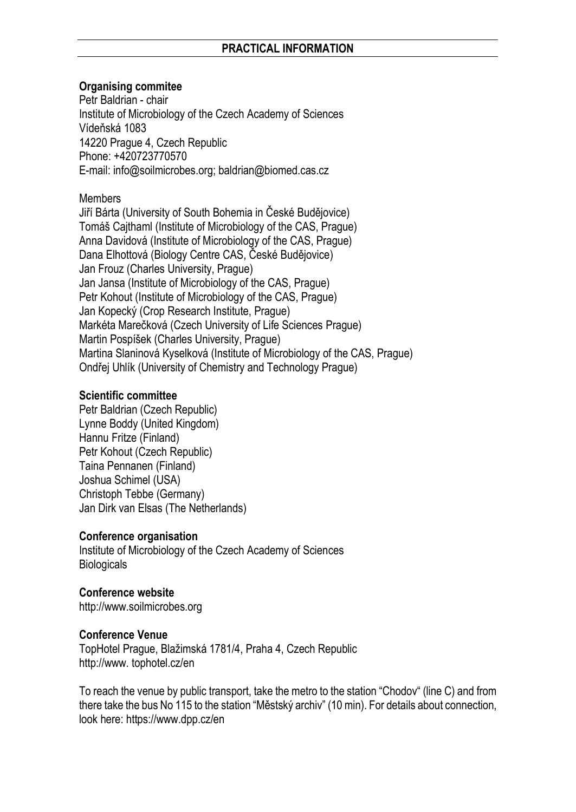# **Organising commitee**

Petr Baldrian - chair Institute of Microbiology of the Czech Academy of Sciences Vídeňská 1083 14220 Prague 4, Czech Republic Phone: +420723770570 E-mail[: info@soilmicrobes.org;](mailto:info@soilmicrobes.org) baldrian@biomed.cas.cz

**Members** 

Jiří Bárta (University of South Bohemia in České Budějovice) Tomáš Cajthaml (Institute of Microbiology of the CAS, Prague) Anna Davidová (Institute of Microbiology of the CAS, Prague) Dana Elhottová (Biology Centre CAS, České Budějovice) Jan Frouz (Charles University, Prague) Jan Jansa (Institute of Microbiology of the CAS, Prague) Petr Kohout (Institute of Microbiology of the CAS, Prague) Jan Kopecký (Crop Research Institute, Prague) Markéta Marečková (Czech University of Life Sciences Prague) Martin Pospíšek (Charles University, Prague) Martina Slaninová Kyselková (Institute of Microbiology of the CAS, Prague) Ondřej Uhlík (University of Chemistry and Technology Prague)

#### **Scientific committee**

Petr Baldrian (Czech Republic) Lynne Boddy (United Kingdom) Hannu Fritze (Finland) Petr Kohout (Czech Republic) Taina Pennanen (Finland) Joshua Schimel (USA) Christoph Tebbe (Germany) Jan Dirk van Elsas (The Netherlands)

# **Conference organisation**

Institute of Microbiology of the Czech Academy of Sciences **Biologicals** 

**Conference website**  [http://www.soilmicrobes.org](http://www.soilmicrobes.org/)

# **Conference Venue**

TopHotel Prague, Blažimská 1781/4, Praha 4, Czech Republic http://www. tophotel.cz/en

To reach the venue by public transport, take the metro to the station "Chodov" (line C) and from there take the bus No 115 to the station "Městský archiv" (10 min). For details about connection, look here: https://www.dpp.cz/en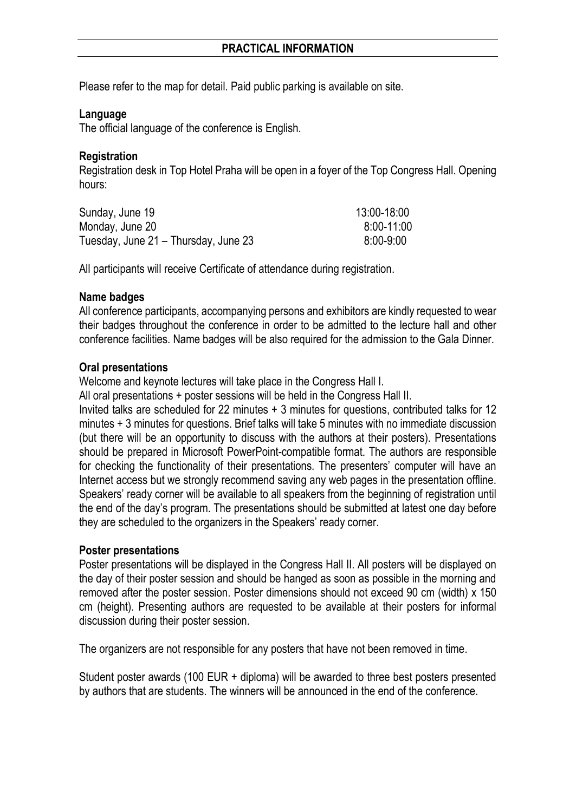Please refer to the map for detail. Paid public parking is available on site.

#### **Language**

The official language of the conference is English.

#### **Registration**

Registration desk in Top Hotel Praha will be open in a foyer of the Top Congress Hall. Opening hours:

| Sunday, June 19                      | 13:00-18:00   |
|--------------------------------------|---------------|
| Monday, June 20                      | 8:00-11:00    |
| Tuesday, June 21 – Thursday, June 23 | $8:00 - 9:00$ |

All participants will receive Certificate of attendance during registration.

#### **Name badges**

All conference participants, accompanying persons and exhibitors are kindly requested to wear their badges throughout the conference in order to be admitted to the lecture hall and other conference facilities. Name badges will be also required for the admission to the Gala Dinner.

#### **Oral presentations**

Welcome and keynote lectures will take place in the Congress Hall I.

All oral presentations + poster sessions will be held in the Congress Hall II.

Invited talks are scheduled for 22 minutes + 3 minutes for questions, contributed talks for 12 minutes + 3 minutes for questions. Brief talks will take 5 minutes with no immediate discussion (but there will be an opportunity to discuss with the authors at their posters). Presentations should be prepared in Microsoft PowerPoint-compatible format. The authors are responsible for checking the functionality of their presentations. The presenters' computer will have an Internet access but we strongly recommend saving any web pages in the presentation offline. Speakers' ready corner will be available to all speakers from the beginning of registration until the end of the day's program. The presentations should be submitted at latest one day before they are scheduled to the organizers in the Speakers' ready corner.

#### **Poster presentations**

Poster presentations will be displayed in the Congress Hall II. All posters will be displayed on the day of their poster session and should be hanged as soon as possible in the morning and removed after the poster session. Poster dimensions should not exceed 90 cm (width) x 150 cm (height). Presenting authors are requested to be available at their posters for informal discussion during their poster session.

The organizers are not responsible for any posters that have not been removed in time.

Student poster awards (100 EUR + diploma) will be awarded to three best posters presented by authors that are students. The winners will be announced in the end of the conference.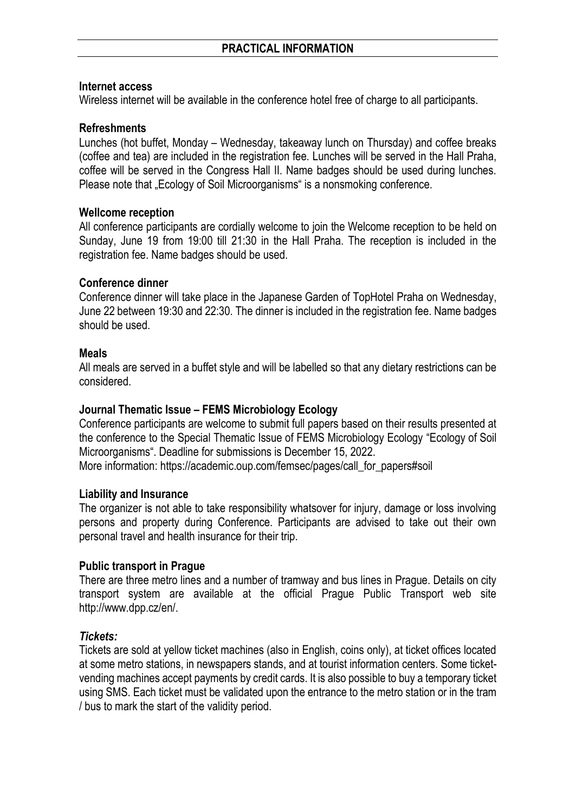#### **Internet access**

Wireless internet will be available in the conference hotel free of charge to all participants.

### **Refreshments**

Lunches (hot buffet, Monday – Wednesday, takeaway lunch on Thursday) and coffee breaks (coffee and tea) are included in the registration fee. Lunches will be served in the Hall Praha, coffee will be served in the Congress Hall II. Name badges should be used during lunches. Please note that "Ecology of Soil Microorganisms" is a nonsmoking conference.

#### **Wellcome reception**

All conference participants are cordially welcome to join the Welcome reception to be held on Sunday, June 19 from 19:00 till 21:30 in the Hall Praha. The reception is included in the registration fee. Name badges should be used.

# **Conference dinner**

Conference dinner will take place in the Japanese Garden of TopHotel Praha on Wednesday, June 22 between 19:30 and 22:30. The dinner is included in the registration fee. Name badges should be used.

#### **Meals**

All meals are served in a buffet style and will be labelled so that any dietary restrictions can be considered.

# **Journal Thematic Issue – FEMS Microbiology Ecology**

Conference participants are welcome to submit full papers based on their results presented at the conference to the Special Thematic Issue of FEMS Microbiology Ecology "Ecology of Soil Microorganisms". Deadline for submissions is December 15, 2022.

More information: https://academic.oup.com/femsec/pages/call\_for\_papers#soil\_

# **Liability and Insurance**

The organizer is not able to take responsibility whatsover for injury, damage or loss involving persons and property during Conference. Participants are advised to take out their own personal travel and health insurance for their trip.

# **Public transport in Prague**

There are three metro lines and a number of tramway and bus lines in Prague. Details on city transport system are available at the official Prague Public Transport web site [http://www.dpp.cz/en/.](http://www.dpp.cz/en/)

# *Tickets:*

Tickets are sold at yellow ticket machines (also in English, coins only), at ticket offices located at some metro stations, in newspapers stands, and at tourist information centers. Some ticketvending machines accept payments by credit cards. It is also possible to buy a temporary ticket using SMS. Each ticket must be validated upon the entrance to the metro station or in the tram / bus to mark the start of the validity period.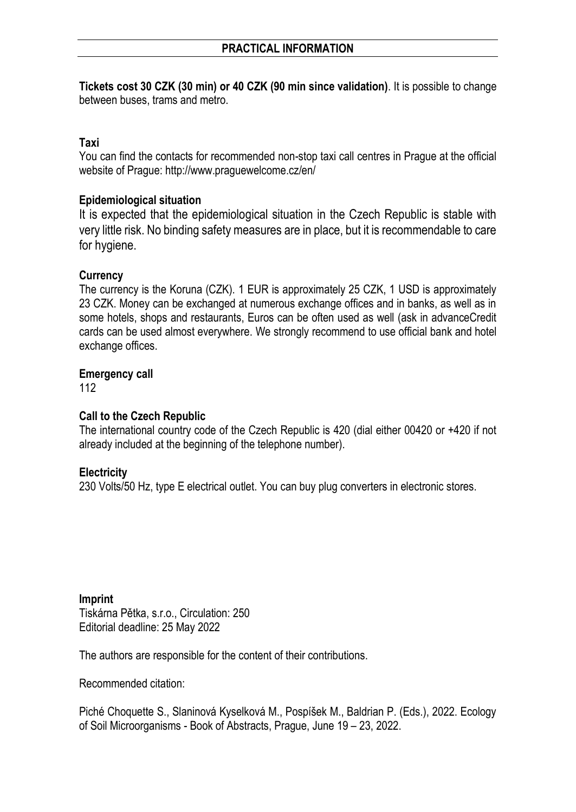**Tickets cost 30 CZK (30 min) or 40 CZK (90 min since validation)**. It is possible to change between buses, trams and metro.

# **Taxi**

You can find the contacts for recommended non-stop taxi call centres in Prague at the official website of Prague: http://www.praguewelcome.cz/en/

# **Epidemiological situation**

It is expected that the epidemiological situation in the Czech Republic is stable with very little risk. No binding safety measures are in place, but it is recommendable to care for hygiene.

#### **Currency**

The currency is the Koruna (CZK). 1 EUR is approximately 25 CZK, 1 USD is approximately 23 CZK. Money can be exchanged at numerous exchange offices and in banks, as well as in some hotels, shops and restaurants, Euros can be often used as well (ask in advanceCredit cards can be used almost everywhere. We strongly recommend to use official bank and hotel exchange offices.

#### **Emergency call**

112

# **Call to the Czech Republic**

The international country code of the Czech Republic is 420 (dial either 00420 or +420 if not already included at the beginning of the telephone number).

# **Electricity**

230 Volts/50 Hz, type E electrical outlet. You can buy plug converters in electronic stores.

**Imprint** Tiskárna Pětka, s.r.o., Circulation: 250 Editorial deadline: 25 May 2022

The authors are responsible for the content of their contributions.

Recommended citation:

Piché Choquette S., Slaninová Kyselková M., Pospíšek M., Baldrian P. (Eds.), 2022. Ecology of Soil Microorganisms - Book of Abstracts, Prague, June 19 – 23, 2022.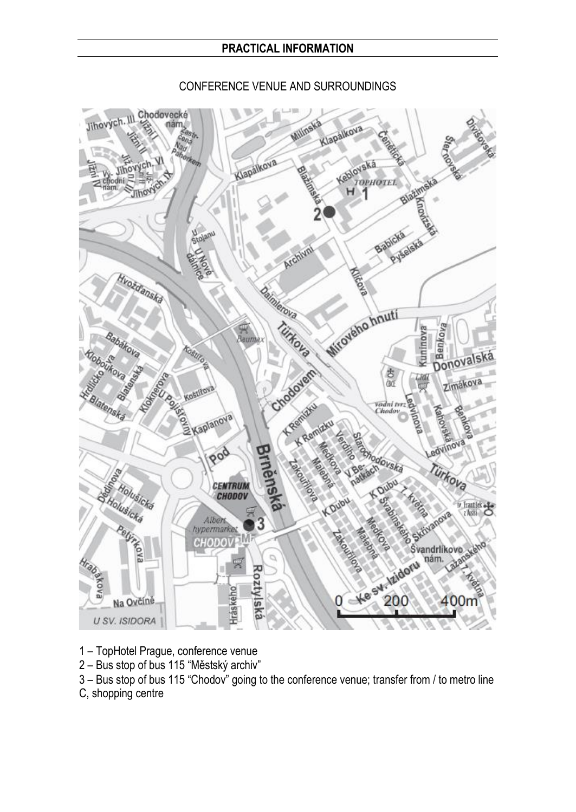

# CONFERENCE VENUE AND SURROUNDINGS

- 1 TopHotel Prague, conference venue
- 2 Bus stop of bus 115 "Městský archiv"

3 – Bus stop of bus 115 "Chodov" going to the conference venue; transfer from / to metro line

C, shopping centre